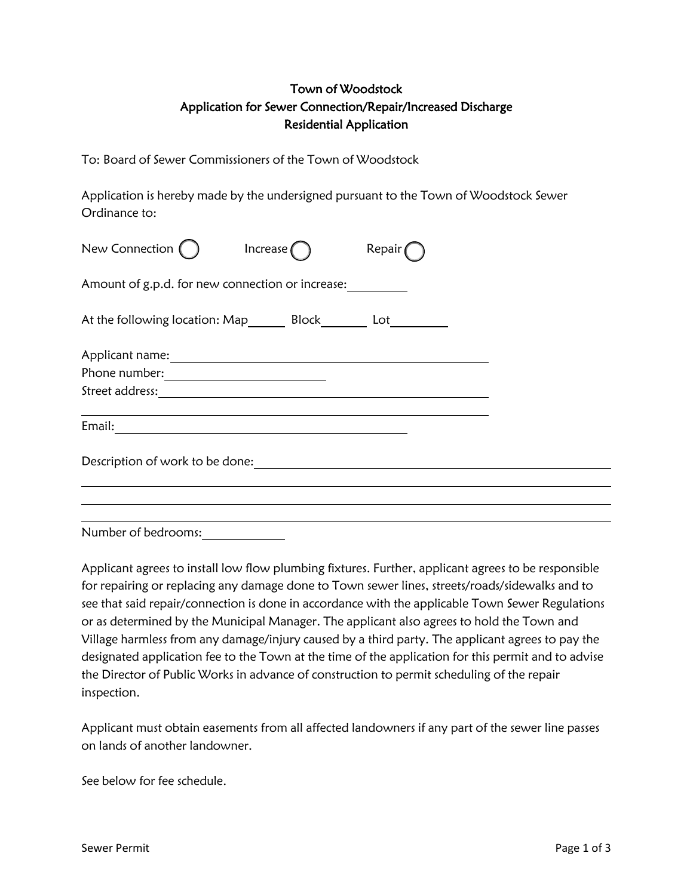## Town of Woodstock Application for Sewer Connection/Repair/Increased Discharge Residential Application

To: Board of Sewer Commissioners of the Town of Woodstock

Application is hereby made by the undersigned pursuant to the Town of Woodstock Sewer Ordinance to:

| New Connection ()                                                     | Increase $\bigcap$ | Repair |  |
|-----------------------------------------------------------------------|--------------------|--------|--|
| Amount of g.p.d. for new connection or increase:                      |                    |        |  |
| At the following location: Map_________ Block__________ Lot__________ |                    |        |  |
|                                                                       |                    |        |  |
|                                                                       |                    |        |  |
|                                                                       |                    |        |  |
|                                                                       |                    |        |  |
| Description of work to be done:                                       |                    |        |  |
|                                                                       |                    |        |  |
|                                                                       |                    |        |  |
|                                                                       |                    |        |  |

Number of bedrooms:

Applicant agrees to install low flow plumbing fixtures. Further, applicant agrees to be responsible for repairing or replacing any damage done to Town sewer lines, streets/roads/sidewalks and to see that said repair/connection is done in accordance with the applicable Town Sewer Regulations or as determined by the Municipal Manager. The applicant also agrees to hold the Town and Village harmless from any damage/injury caused by a third party. The applicant agrees to pay the designated application fee to the Town at the time of the application for this permit and to advise the Director of Public Works in advance of construction to permit scheduling of the repair inspection.

Applicant must obtain easements from all affected landowners if any part of the sewer line passes on lands of another landowner.

See below for fee schedule.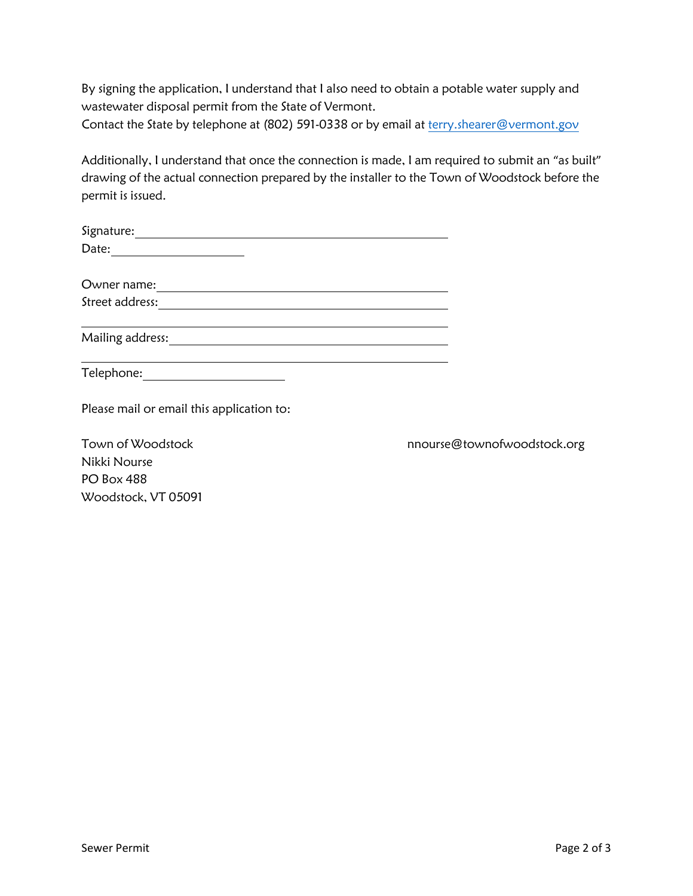By signing the application, I understand that I also need to obtain a potable water supply and wastewater disposal permit from the State of Vermont.

Contact the State by telephone at (802) 591-0338 or by email at [terry.shearer@vermont.gov](mailto:terry.shearer@vermont.gov)

Additionally, I understand that once the connection is made, I am required to submit an "as built" drawing of the actual connection prepared by the installer to the Town of Woodstock before the permit is issued.

| Owner name:                                                                          |                             |
|--------------------------------------------------------------------------------------|-----------------------------|
| Street address:                                                                      |                             |
| Mailing address:<br><u> 1980 - Andrea Stadt Britain, amerikan bestean ingilandi.</u> |                             |
| Telephone: <u>_________________</u>                                                  |                             |
| Please mail or email this application to:                                            |                             |
| Town of Woodstock                                                                    | nnourse@townofwoodstock.org |
| Nikki Nourse                                                                         |                             |

PO Box 488

Woodstock, VT 05091